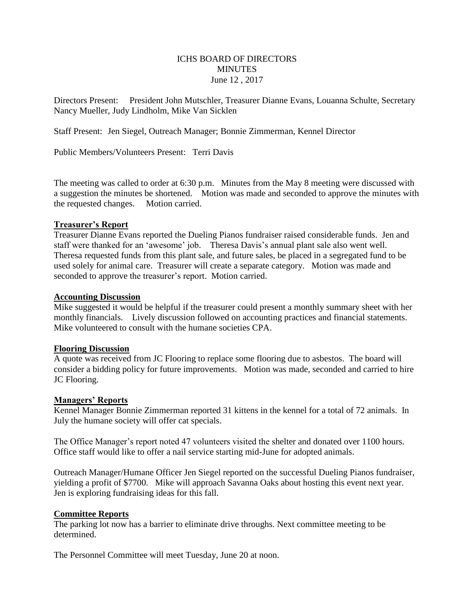## ICHS BOARD OF DIRECTORS **MINUTES** June 12 , 2017

Directors Present: President John Mutschler, Treasurer Dianne Evans, Louanna Schulte, Secretary Nancy Mueller, Judy Lindholm, Mike Van Sicklen

Staff Present: Jen Siegel, Outreach Manager; Bonnie Zimmerman, Kennel Director

Public Members/Volunteers Present: Terri Davis

The meeting was called to order at 6:30 p.m. Minutes from the May 8 meeting were discussed with a suggestion the minutes be shortened. Motion was made and seconded to approve the minutes with the requested changes. Motion carried.

## **Treasurer's Report**

Treasurer Dianne Evans reported the Dueling Pianos fundraiser raised considerable funds. Jen and staff were thanked for an 'awesome' job. Theresa Davis's annual plant sale also went well. Theresa requested funds from this plant sale, and future sales, be placed in a segregated fund to be used solely for animal care. Treasurer will create a separate category. Motion was made and seconded to approve the treasurer's report. Motion carried.

#### **Accounting Discussion**

Mike suggested it would be helpful if the treasurer could present a monthly summary sheet with her monthly financials. Lively discussion followed on accounting practices and financial statements. Mike volunteered to consult with the humane societies CPA.

#### **Flooring Discussion**

A quote was received from JC Flooring to replace some flooring due to asbestos. The board will consider a bidding policy for future improvements. Motion was made, seconded and carried to hire JC Flooring.

#### **Managers' Reports**

Kennel Manager Bonnie Zimmerman reported 31 kittens in the kennel for a total of 72 animals. In July the humane society will offer cat specials.

The Office Manager's report noted 47 volunteers visited the shelter and donated over 1100 hours. Office staff would like to offer a nail service starting mid-June for adopted animals.

Outreach Manager/Humane Officer Jen Siegel reported on the successful Dueling Pianos fundraiser, yielding a profit of \$7700. Mike will approach Savanna Oaks about hosting this event next year. Jen is exploring fundraising ideas for this fall.

## **Committee Reports**

The parking lot now has a barrier to eliminate drive throughs. Next committee meeting to be determined.

The Personnel Committee will meet Tuesday, June 20 at noon.